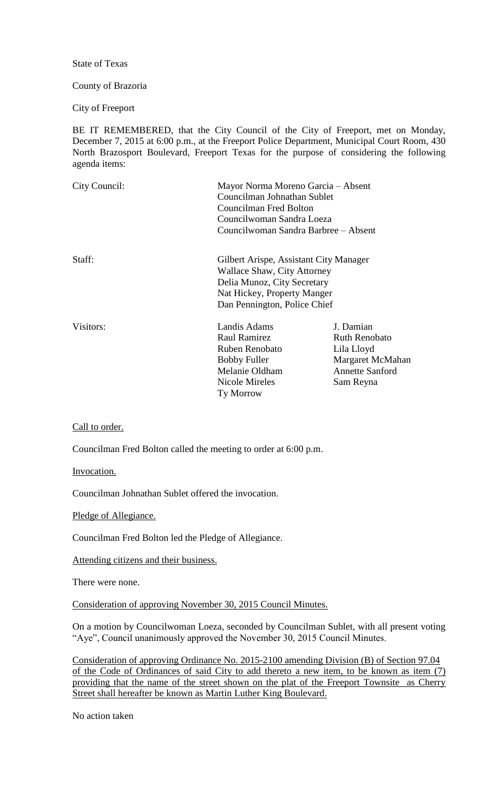State of Texas

County of Brazoria

City of Freeport

BE IT REMEMBERED, that the City Council of the City of Freeport, met on Monday, December 7, 2015 at 6:00 p.m., at the Freeport Police Department, Municipal Court Room, 430 North Brazosport Boulevard, Freeport Texas for the purpose of considering the following agenda items:

| City Council: | Mayor Norma Moreno Garcia – Absent<br>Councilman Johnathan Sublet<br>Councilman Fred Bolton<br>Councilwoman Sandra Loeza<br>Councilwoman Sandra Barbree – Absent    |                                                                                                            |
|---------------|---------------------------------------------------------------------------------------------------------------------------------------------------------------------|------------------------------------------------------------------------------------------------------------|
| Staff:        | Gilbert Arispe, Assistant City Manager<br>Wallace Shaw, City Attorney<br>Delia Munoz, City Secretary<br>Nat Hickey, Property Manger<br>Dan Pennington, Police Chief |                                                                                                            |
| Visitors:     | Landis Adams<br>Raul Ramirez<br>Ruben Renobato<br><b>Bobby Fuller</b><br>Melanie Oldham<br>Nicole Mireles<br><b>Ty Morrow</b>                                       | J. Damian<br><b>Ruth Renobato</b><br>Lila Lloyd<br>Margaret McMahan<br><b>Annette Sanford</b><br>Sam Reyna |

Call to order.

Councilman Fred Bolton called the meeting to order at 6:00 p.m.

Invocation.

Councilman Johnathan Sublet offered the invocation.

Pledge of Allegiance.

Councilman Fred Bolton led the Pledge of Allegiance.

Attending citizens and their business.

There were none.

Consideration of approving November 30, 2015 Council Minutes.

On a motion by Councilwoman Loeza, seconded by Councilman Sublet, with all present voting "Aye", Council unanimously approved the November 30, 2015 Council Minutes.

Consideration of approving Ordinance No. 2015-2100 amending Division (B) of Section 97.04 of the Code of Ordinances of said City to add thereto a new item, to be known as item (7) providing that the name of the street shown on the plat of the Freeport Townsite as Cherry Street shall hereafter be known as Martin Luther King Boulevard.

No action taken